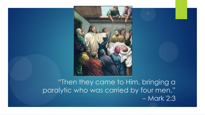

#### "Then they came to Him, bringing a paralytic who was carried by four men." – Mark 2:3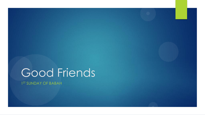# Good Friends

1 ST SUNDAY OF BABAH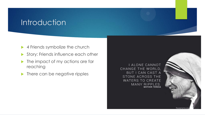## **Introduction**

- ▶ 4 Friends symbolize the church
- Story: Friends influence each other
- **In the impact of my actions are far** reaching
- $\blacktriangleright$  There can be negative ripples

I ALONE CANNOT CHANGE THE WORLD, **BUT I CAN CAST A** STONE ACROSS THE **WATERS TO CREATE** MANY RIPPLES. **MOTHER TERESA** 

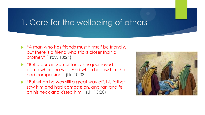#### 1. Care for the wellbeing of others

- A man who has friends must himself be friendly, but there is a friend who sticks closer than a brother." (Prov. 18:24)
- "But a certain Samaritan, as he journeyed, came where he was. And when he saw him, he had compassion." (Lk. 10:33)
- **D** "But when he was still a great way off, his father saw him and had compassion, and ran and fell on his neck and kissed him." (Lk. 15:20)

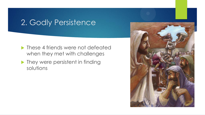## 2. Godly Persistence

- **Industry** These 4 friends were not defeated when they met with challenges
- **They were persistent in finding** solutions

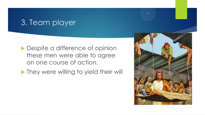#### 3. Team player

- **Despite a difference of opinion** these men were able to agree on one course of action.
- **They were willing to yield their will**